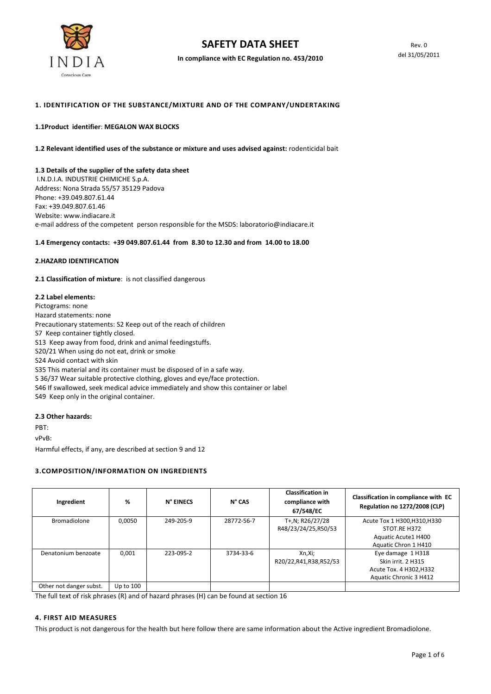

In compliance with EC Regulation no. 453/2010

## 1. IDENTIFICATION OF THE SUBSTANCE/MIXTURE AND OF THE COMPANY/UNDERTAKING

#### 1.1Product identifier: MEGALON WAX BLOCKS

1.2 Relevant identified uses of the substance or mixture and uses advised against: rodenticidal bait

### 1.3 Details of the supplier of the safety data sheet

 I.N.D.I.A. INDUSTRIE CHIMICHE S.p.A. Address: Nona Strada 55/57 35129 Padova Phone: +39.049.807.61.44 Fax: +39.049.807.61.46 Website: www.indiacare.it e-mail address of the competent person responsible for the MSDS: laboratorio@indiacare.it

#### 1.4 Emergency contacts: +39 049.807.61.44 from 8.30 to 12.30 and from 14.00 to 18.00

#### 2.HAZARD IDENTIFICATION

2.1 Classification of mixture: is not classified dangerous

#### 2.2 Label elements:

Pictograms: none Hazard statements: none Precautionary statements: S2 Keep out of the reach of children S7 Keep container tightly closed. S13 Keep away from food, drink and animal feedingstuffs. S20/21 When using do not eat, drink or smoke S24 Avoid contact with skin S35 This material and its container must be disposed of in a safe way. S 36/37 Wear suitable protective clothing, gloves and eye/face protection. S46 If swallowed, seek medical advice immediately and show this container or label S49 Keep only in the original container.

## 2.3 Other hazards:

PBT:

vPvB:

Harmful effects, if any, are described at section 9 and 12

#### 3.COMPOSITION/INFORMATION ON INGREDIENTS

| Ingredient              | %           | N° EINECS | $N^{\circ}$ CAS | <b>Classification in</b><br>compliance with<br>67/548/EC | Classification in compliance with EC<br><b>Regulation no 1272/2008 (CLP)</b>                 |
|-------------------------|-------------|-----------|-----------------|----------------------------------------------------------|----------------------------------------------------------------------------------------------|
| <b>Bromadiolone</b>     | 0.0050      | 249-205-9 | 28772-56-7      | T+,N; R26/27/28<br>R48/23/24/25,R50/53                   | Acute Tox 1 H300, H310, H330<br>STOT.RE H372<br>Aquatic Acute1 H400<br>Aquatic Chron 1 H410  |
| Denatonium benzoate     | 0.001       | 223-095-2 | 3734-33-6       | Xn,Xi;<br>R20/22, R41, R38, R52/53                       | Eye damage 1 H318<br>Skin irrit. 2 H315<br>Acute Tox. 4 H302, H332<br>Aquatic Chronic 3 H412 |
| Other not danger subst. | Up to $100$ |           |                 |                                                          |                                                                                              |

The full text of risk phrases (R) and of hazard phrases (H) can be found at section 16

# 4. FIRST AID MEASURES

This product is not dangerous for the health but here follow there are same information about the Active ingredient Bromadiolone.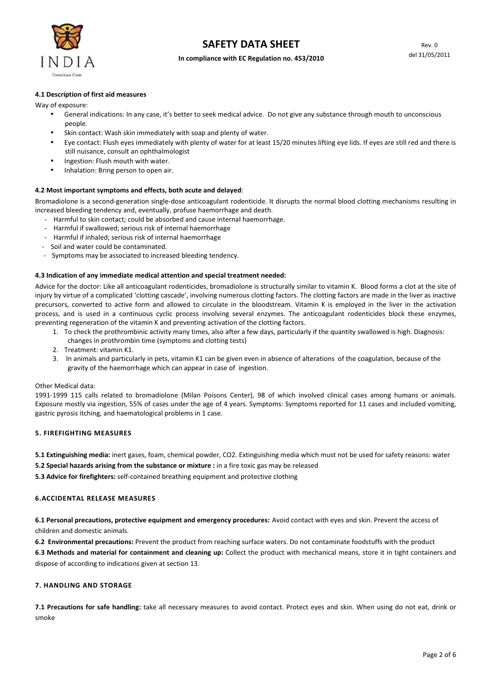

#### In compliance with EC Regulation no. 453/2010

## 4.1 Description of first aid measures

Way of exposure:

- General indications: In any case, it's better to seek medical advice. Do not give any substance through mouth to unconscious people.
- Skin contact: Wash skin immediately with soap and plenty of water.
- Eye contact: Flush eyes immediately with plenty of water for at least 15/20 minutes lifting eye lids. If eyes are still red and there is still nuisance, consult an ophthalmologist
- Ingestion: Flush mouth with water.
- Inhalation: Bring person to open air.

### 4.2 Most important symptoms and effects, both acute and delayed:

Bromadiolone is a second-generation single-dose anticoagulant rodenticide. It disrupts the normal blood clotting mechanisms resulting in increased bleeding tendency and, eventually, profuse haemorrhage and death.

- Harmful to skin contact; could be absorbed and cause internal haemorrhage.
- Harmful if swallowed; serious risk of internal haemorrhage
- Harmful if inhaled; serious risk of internal haemorrhage
- Soil and water could be contaminated.
- Symptoms may be associated to increased bleeding tendency.

### 4.3 Indication of any immediate medical attention and special treatment needed:

Advice for the doctor: Like all anticoagulant rodenticides, bromadiolone is structurally similar to vitamin K. Blood forms a clot at the site of injury by virtue of a complicated 'clotting cascade', involving numerous clotting factors. The clotting factors are made in the liver as inactive precursors, converted to active form and allowed to circulate in the bloodstream. Vitamin K is employed in the liver in the activation process, and is used in a continuous cyclic process involving several enzymes. The anticoagulant rodenticides block these enzymes, preventing regeneration of the vitamin K and preventing activation of the clotting factors.

- 1. To check the prothrombinic activity many times, also after a few days, particularly if the quantity swallowed is high. Diagnosis: changes in prothrombin time (symptoms and clotting tests)
- 2. Treatment: vitamin K1.
- 3. In animals and particularly in pets, vitamin K1 can be given even in absence of alterations of the coagulation, because of the gravity of the haemorrhage which can appear in case of ingestion.

#### Other Medical data:

1991-1999 115 calls related to bromadiolone (Milan Poisons Center), 98 of which involved clinical cases among humans or animals. Exposure mostly via ingestion, 55% of cases under the age of 4 years. Symptoms: Symptoms reported for 11 cases and included vomiting, gastric pyrosis itching, and haematological problems in 1 case.

#### 5. FIREFIGHTING MEASURES

5.1 Extinguishing media: inert gases, foam, chemical powder, CO2. Extinguishing media which must not be used for safety reasons: water

5.2 Special hazards arising from the substance or mixture : in a fire toxic gas may be released

5.3 Advice for firefighters: self-contained breathing equipment and protective clothing

### 6.ACCIDENTAL RELEASE MEASURES

6.1 Personal precautions, protective equipment and emergency procedures: Avoid contact with eyes and skin. Prevent the access of children and domestic animals.

6.2 Environmental precautions: Prevent the product from reaching surface waters. Do not contaminate foodstuffs with the product

6.3 Methods and material for containment and cleaning up: Collect the product with mechanical means, store it in tight containers and dispose of according to indications given at section 13.

## 7. HANDLING AND STORAGE

7.1 Precautions for safe handling: take all necessary measures to avoid contact. Protect eyes and skin. When using do not eat, drink or smoke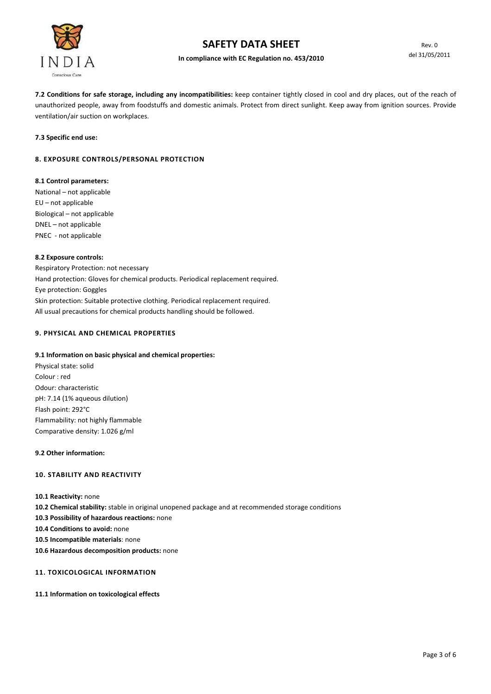

# In compliance with EC Regulation no. 453/2010

7.2 Conditions for safe storage, including any incompatibilities: keep container tightly closed in cool and dry places, out of the reach of unauthorized people, away from foodstuffs and domestic animals. Protect from direct sunlight. Keep away from ignition sources. Provide ventilation/air suction on workplaces.

7.3 Specific end use:

# 8. EXPOSURE CONTROLS/PERSONAL PROTECTION

## 8.1 Control parameters:

National – not applicable EU – not applicable Biological – not applicable DNEL – not applicable PNEC - not applicable

## 8.2 Exposure controls:

Respiratory Protection: not necessary Hand protection: Gloves for chemical products. Periodical replacement required. Eye protection: Goggles Skin protection: Suitable protective clothing. Periodical replacement required. All usual precautions for chemical products handling should be followed.

# 9. PHYSICAL AND CHEMICAL PROPERTIES

# 9.1 Information on basic physical and chemical properties:

Physical state: solid Colour : red Odour: characteristic pH: 7.14 (1% aqueous dilution) Flash point: 292°C Flammability: not highly flammable Comparative density: 1.026 g/ml

## 9.2 Other information:

# 10. STABILITY AND REACTIVITY

10.1 Reactivity: none

10.2 Chemical stability: stable in original unopened package and at recommended storage conditions

- 10.3 Possibility of hazardous reactions: none
- 10.4 Conditions to avoid: none

10.5 Incompatible materials: none

10.6 Hazardous decomposition products: none

# 11. TOXICOLOGICAL INFORMATION

11.1 Information on toxicological effects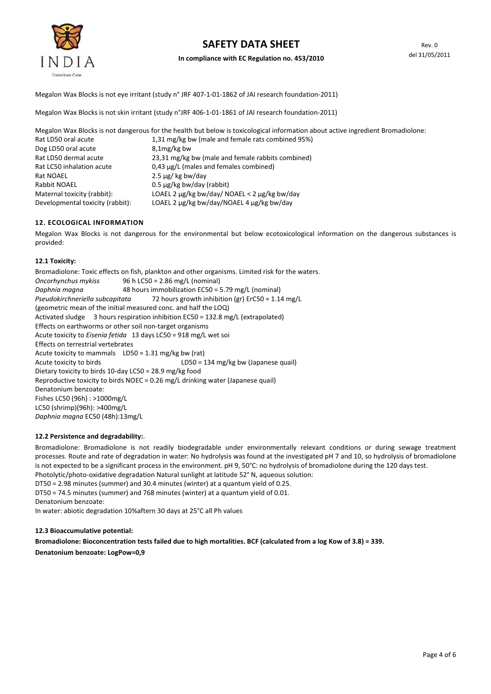

Megalon Wax Blocks is not eye irritant (study n° JRF 407-1-01-1862 of JAI research foundation-2011)

Megalon Wax Blocks is not skin irritant (study n°JRF 406-1-01-1861 of JAI research foundation-2011)

Megalon Wax Blocks is not dangerous for the health but below is toxicological information about active ingredient Bromadiolone: Rat LD50 oral acute 1,31 mg/kg bw (male and female rats combined 95%) Dog LD50 oral acute 8,1mg/kg bw Rat LD50 dermal acute 23,31 mg/kg bw (male and female rabbits combined) Rat LC50 inhalation acute 0,43 µg/L (males and females combined) Rat NOAEL 2.5 µg/ kg bw/day Rabbit NOAEL 0.5 µg/kg bw/day (rabbit) Maternal toxicity (rabbit): LOAEL 2 µg/kg bw/day/ NOAEL < 2 µg/kg bw/day Developmental toxicity (rabbit): LOAEL 2 µg/kg bw/day/NOAEL 4 µg/kg bw/day

## 12. ECOLOGICAL INFORMATION

Megalon Wax Blocks is not dangerous for the environmental but below ecotoxicological information on the dangerous substances is provided:

### 12.1 Toxicity:

Bromadiolone: Toxic effects on fish, plankton and other organisms. Limited risk for the waters. Oncorhynchus mykiss 96 h LC50 = 2.86 mg/L (nominal) Daphnia magna 48 hours immobilization EC50 = 5.79 mg/L (nominal) Pseudokirchneriella subcapitata 72 hours growth inhibition (gr) ErC50 = 1.14 mg/L (geometric mean of the initial measured conc. and half the LOQ) Activated sludge 3 hours respiration inhibition EC50 = 132.8 mg/L (extrapolated) Effects on earthworms or other soil non-target organisms Acute toxicity to Eisenia fetida 13 days LC50 = 918 mg/L wet soi Effects on terrestrial vertebrates Acute toxicity to mammals LD50 = 1.31 mg/kg bw (rat) Acute toxicity to birds LD50 = 134 mg/kg bw (Japanese quail) Dietary toxicity to birds 10-day LC50 = 28.9 mg/kg food Reproductive toxicity to birds NOEC = 0.26 mg/L drinking water (Japanese quail) Denatonium benzoate: Fishes LC50 (96h) : >1000mg/L LC50 (shrimp)(96h): >400mg/L Daphnia magna EC50 (48h):13mg/L

#### 12.2 Persistence and degradability:.

Bromadiolone: Bromadiolone is not readily biodegradable under environmentally relevant conditions or during sewage treatment processes. Route and rate of degradation in water: No hydrolysis was found at the investigated pH 7 and 10, so hydrolysis of bromadiolone is not expected to be a significant process in the environment. pH 9, 50°C: no hydrolysis of bromadiolone during the 120 days test. Photolytic/photo-oxidative degradation Natural sunlight at latitude 52° N, aqueous solution:

DT50 = 2.98 minutes (summer) and 30.4 minutes (winter) at a quantum yield of 0.25.

DT50 = 74.5 minutes (summer) and 768 minutes (winter) at a quantum yield of 0.01.

Denatonium benzoate:

In water: abiotic degradation 10%aftern 30 days at 25°C all Ph values

#### 12.3 Bioaccumulative potential:

Bromadiolone: Bioconcentration tests failed due to high mortalities. BCF (calculated from a log Kow of 3.8) = 339.

Denatonium benzoate: LogPow=0,9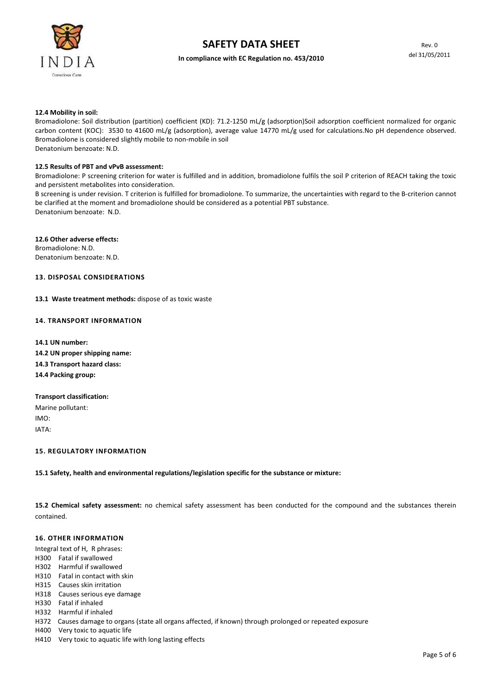

## In compliance with EC Regulation no. 453/2010

#### 12.4 Mobility in soil:

Bromadiolone: Soil distribution (partition) coefficient (KD): 71.2-1250 mL/g (adsorption)Soil adsorption coefficient normalized for organic carbon content (KOC): 3530 to 41600 mL/g (adsorption), average value 14770 mL/g used for calculations.No pH dependence observed. Bromadiolone is considered slightly mobile to non-mobile in soil Denatonium benzoate: N.D.

#### 12.5 Results of PBT and vPvB assessment:

Bromadiolone: P screening criterion for water is fulfilled and in addition, bromadiolone fulfils the soil P criterion of REACH taking the toxic and persistent metabolites into consideration.

B screening is under revision. T criterion is fulfilled for bromadiolone. To summarize, the uncertainties with regard to the B-criterion cannot be clarified at the moment and bromadiolone should be considered as a potential PBT substance. Denatonium benzoate: N.D.

12.6 Other adverse effects: Bromadiolone: N.D. Denatonium benzoate: N.D.

# 13. DISPOSAL CONSIDERATIONS

13.1 Waste treatment methods: dispose of as toxic waste

### 14. TRANSPORT INFORMATION

- 14.1 UN number: 14.2 UN proper shipping name: 14.3 Transport hazard class: 14.4 Packing group:
- Transport classification: Marine pollutant:
- IMO:

IATA:

## 15. REGULATORY INFORMATION

## 15.1 Safety, health and environmental regulations/legislation specific for the substance or mixture:

15.2 Chemical safety assessment: no chemical safety assessment has been conducted for the compound and the substances therein contained.

## 16. OTHER INFORMATION

Integral text of H, R phrases:

- H300 Fatal if swallowed
- H302 Harmful if swallowed
- H310 Fatal in contact with skin
- H315 Causes skin irritation
- H318 Causes serious eye damage
- H330 Fatal if inhaled
- H332 Harmful if inhaled
- H372 Causes damage to organs (state all organs affected, if known) through prolonged or repeated exposure
- H400 Very toxic to aquatic life
- H410 Very toxic to aquatic life with long lasting effects